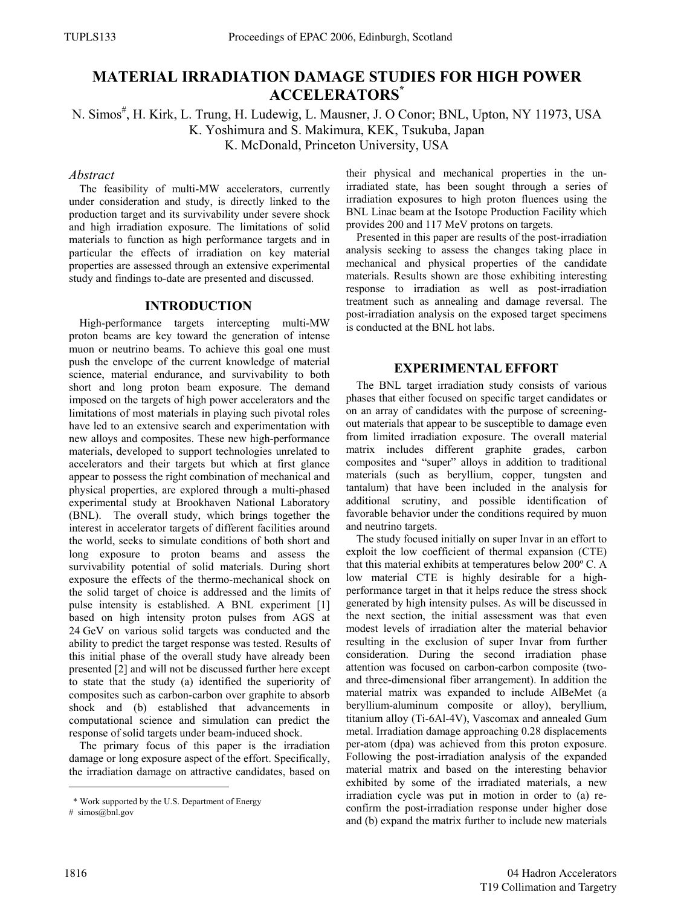# **MATERIAL IRRADIATION DAMAGE STUDIES FOR HIGH POWER ACCELERATORS\***

N. Simos<sup>#</sup>, H. Kirk, L. Trung, H. Ludewig, L. Mausner, J. O Conor; BNL, Upton, NY 11973, USA K. Yoshimura and S. Makimura, KEK, Tsukuba, Japan K. McDonald, Princeton University, USA

#### *Abstract*

The feasibility of multi-MW accelerators, currently under consideration and study, is directly linked to the production target and its survivability under severe shock and high irradiation exposure. The limitations of solid materials to function as high performance targets and in particular the effects of irradiation on key material properties are assessed through an extensive experimental study and findings to-date are presented and discussed.

## **INTRODUCTION**

High-performance targets intercepting multi-MW proton beams are key toward the generation of intense muon or neutrino beams. To achieve this goal one must push the envelope of the current knowledge of material science, material endurance, and survivability to both short and long proton beam exposure. The demand imposed on the targets of high power accelerators and the limitations of most materials in playing such pivotal roles have led to an extensive search and experimentation with new alloys and composites. These new high-performance materials, developed to support technologies unrelated to accelerators and their targets but which at first glance appear to possess the right combination of mechanical and physical properties, are explored through a multi-phased experimental study at Brookhaven National Laboratory (BNL). The overall study, which brings together the interest in accelerator targets of different facilities around the world, seeks to simulate conditions of both short and long exposure to proton beams and assess the survivability potential of solid materials. During short exposure the effects of the thermo-mechanical shock on the solid target of choice is addressed and the limits of pulse intensity is established. A BNL experiment [1] based on high intensity proton pulses from AGS at 24 GeV on various solid targets was conducted and the ability to predict the target response was tested. Results of this initial phase of the overall study have already been presented [2] and will not be discussed further here except to state that the study (a) identified the superiority of composites such as carbon-carbon over graphite to absorb shock and (b) established that advancements in computational science and simulation can predict the response of solid targets under beam-induced shock.

The primary focus of this paper is the irradiation damage or long exposure aspect of the effort. Specifically, the irradiation damage on attractive candidates, based on their physical and mechanical properties in the unirradiated state, has been sought through a series of irradiation exposures to high proton fluences using the BNL Linac beam at the Isotope Production Facility which provides 200 and 117 MeV protons on targets.

Presented in this paper are results of the post-irradiation analysis seeking to assess the changes taking place in mechanical and physical properties of the candidate materials. Results shown are those exhibiting interesting response to irradiation as well as post-irradiation treatment such as annealing and damage reversal. The post-irradiation analysis on the exposed target specimens is conducted at the BNL hot labs.

## **EXPERIMENTAL EFFORT**

The BNL target irradiation study consists of various phases that either focused on specific target candidates or on an array of candidates with the purpose of screeningout materials that appear to be susceptible to damage even from limited irradiation exposure. The overall material matrix includes different graphite grades, carbon composites and "super" alloys in addition to traditional materials (such as beryllium, copper, tungsten and tantalum) that have been included in the analysis for additional scrutiny, and possible identification of favorable behavior under the conditions required by muon and neutrino targets.

The study focused initially on super Invar in an effort to exploit the low coefficient of thermal expansion (CTE) that this material exhibits at temperatures below 200º C. A low material CTE is highly desirable for a highperformance target in that it helps reduce the stress shock generated by high intensity pulses. As will be discussed in the next section, the initial assessment was that even modest levels of irradiation alter the material behavior resulting in the exclusion of super Invar from further consideration. During the second irradiation phase attention was focused on carbon-carbon composite (twoand three-dimensional fiber arrangement). In addition the material matrix was expanded to include AlBeMet (a beryllium-aluminum composite or alloy), beryllium, titanium alloy (Ti-6Al-4V), Vascomax and annealed Gum metal. Irradiation damage approaching 0.28 displacements per-atom (dpa) was achieved from this proton exposure. Following the post-irradiation analysis of the expanded material matrix and based on the interesting behavior exhibited by some of the irradiated materials, a new irradiation cycle was put in motion in order to (a) reconfirm the post-irradiation response under higher dose and (b) expand the matrix further to include new materials

 <sup>\*</sup> Work supported by the U.S. Department of Energy

<sup>#</sup> simos@bnl.gov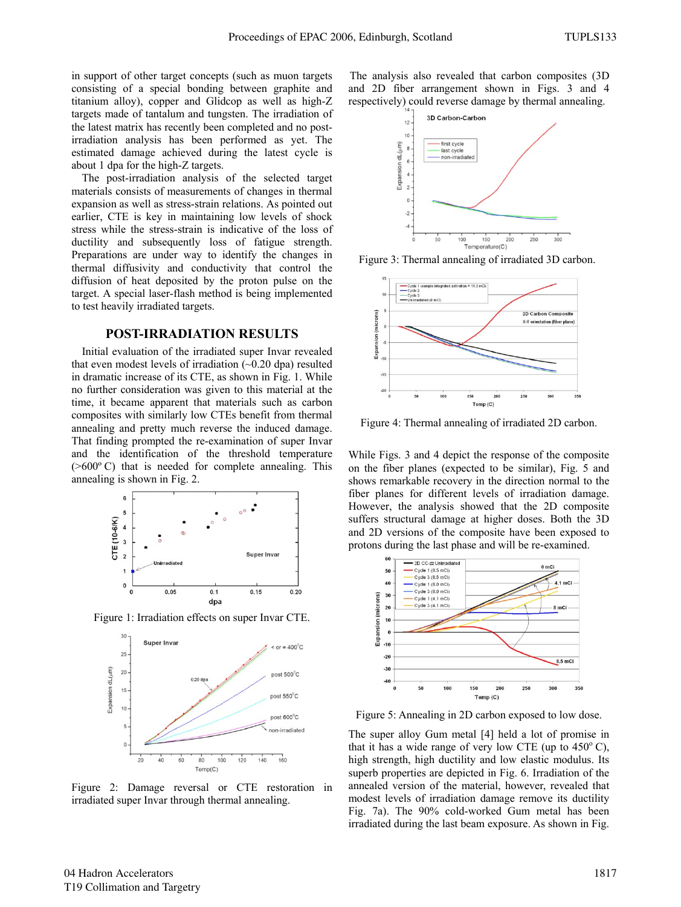in support of other target concepts (such as muon targets consisting of a special bonding between graphite and titanium alloy), copper and Glidcop as well as high-Z targets made of tantalum and tungsten. The irradiation of the latest matrix has recently been completed and no postirradiation analysis has been performed as yet. The estimated damage achieved during the latest cycle is about 1 dpa for the high-Z targets.

The post-irradiation analysis of the selected target materials consists of measurements of changes in thermal expansion as well as stress-strain relations. As pointed out earlier, CTE is key in maintaining low levels of shock stress while the stress-strain is indicative of the loss of ductility and subsequently loss of fatigue strength. Preparations are under way to identify the changes in thermal diffusivity and conductivity that control the diffusion of heat deposited by the proton pulse on the target. A special laser-flash method is being implemented to test heavily irradiated targets.

## **POST-IRRADIATION RESULTS**

Initial evaluation of the irradiated super Invar revealed that even modest levels of irradiation  $(-0.20$  dpa) resulted in dramatic increase of its CTE, as shown in Fig. 1. While no further consideration was given to this material at the time, it became apparent that materials such as carbon composites with similarly low CTEs benefit from thermal annealing and pretty much reverse the induced damage. That finding prompted the re-examination of super Invar and the identification of the threshold temperature (>600º C) that is needed for complete annealing. This annealing is shown in Fig. 2.



Figure 1: Irradiation effects on super Invar CTE.



Figure 2: Damage reversal or CTE restoration in irradiated super Invar through thermal annealing.

The analysis also revealed that carbon composites (3D and 2D fiber arrangement shown in Figs. 3 and 4 respectively) could reverse damage by thermal annealing.



Figure 3: Thermal annealing of irradiated 3D carbon.



Figure 4: Thermal annealing of irradiated 2D carbon.

While Figs. 3 and 4 depict the response of the composite on the fiber planes (expected to be similar), Fig. 5 and shows remarkable recovery in the direction normal to the fiber planes for different levels of irradiation damage. However, the analysis showed that the 2D composite suffers structural damage at higher doses. Both the 3D and 2D versions of the composite have been exposed to protons during the last phase and will be re-examined.



Figure 5: Annealing in 2D carbon exposed to low dose.

The super alloy Gum metal [4] held a lot of promise in that it has a wide range of very low CTE (up to  $450^{\circ}$  C), high strength, high ductility and low elastic modulus. Its superb properties are depicted in Fig. 6. Irradiation of the annealed version of the material, however, revealed that modest levels of irradiation damage remove its ductility Fig. 7a). The 90% cold-worked Gum metal has been irradiated during the last beam exposure. As shown in Fig.